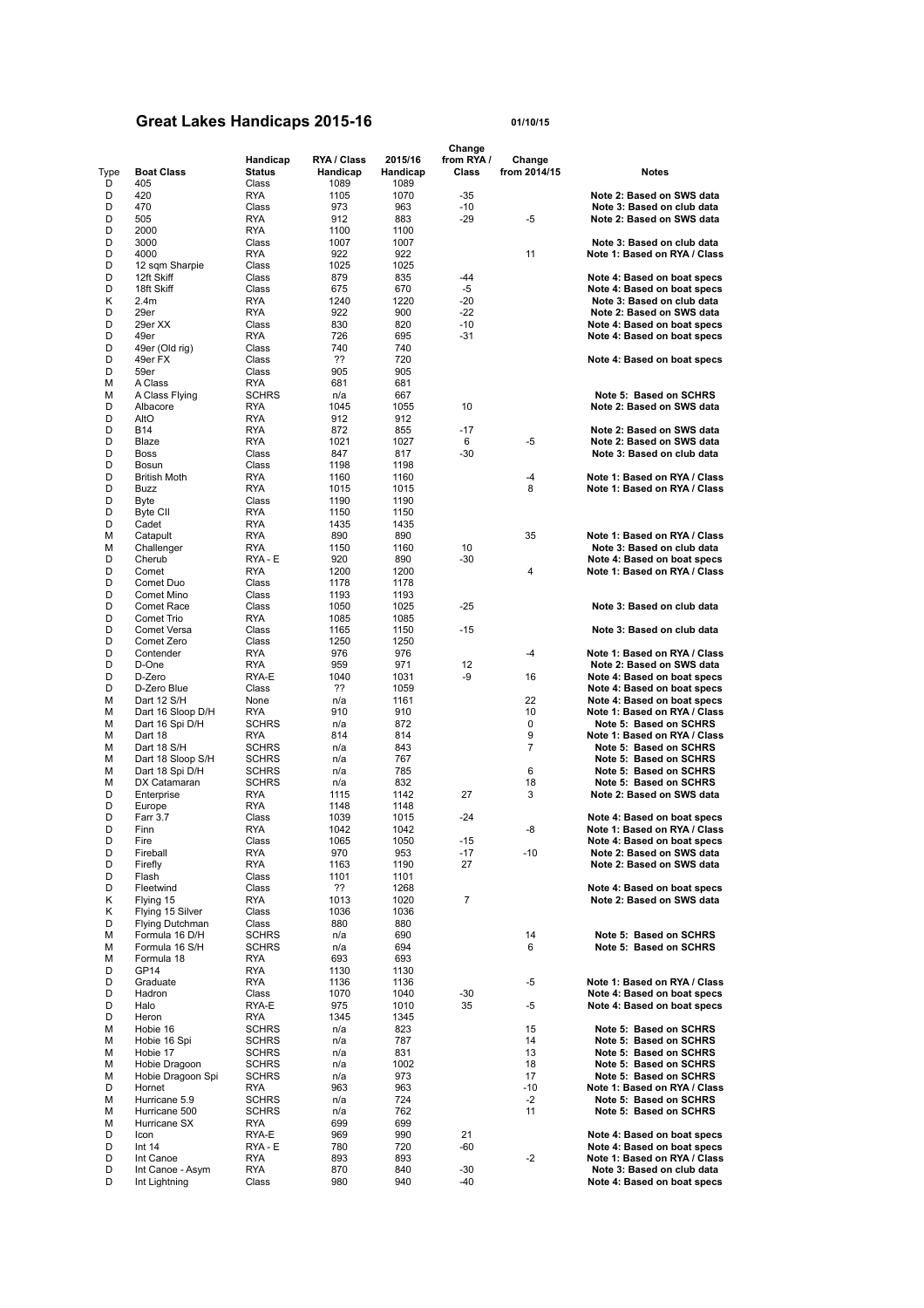## **Great Lakes Handicaps 2015-16 01/10/15**

|        |                     |                   |             |             | Change     |              |                              |
|--------|---------------------|-------------------|-------------|-------------|------------|--------------|------------------------------|
|        |                     | Handicap          | RYA / Class | 2015/16     | from RYA / | Change       |                              |
| Type   | <b>Boat Class</b>   | <b>Status</b>     | Handicap    | Handicap    | Class      | from 2014/15 | Notes                        |
| D      | 405                 | Class             | 1089        | 1089        |            |              |                              |
| D      | 420                 | <b>RYA</b>        | 1105        | 1070        | $-35$      |              | Note 2: Based on SWS data    |
| D      | 470                 | Class             | 973         | 963         | $-10$      |              | Note 3: Based on club data   |
| D      | 505                 | <b>RYA</b>        | 912         | 883         | $-29$      | -5           | Note 2: Based on SWS data    |
| D      | 2000                | <b>RYA</b>        | 1100        | 1100        |            |              |                              |
| D      | 3000                | Class             | 1007        | 1007        |            |              | Note 3: Based on club data   |
| D      | 4000                | <b>RYA</b>        | 922         | 922         |            | 11           | Note 1: Based on RYA / Class |
| D      | 12 sqm Sharpie      | Class             | 1025        | 1025        |            |              |                              |
| D      | 12ft Skiff          | Class             | 879         | 835         | $-44$      |              | Note 4: Based on boat specs  |
| D      | 18ft Skiff          | Class             | 675         | 670         | -5         |              | Note 4: Based on boat specs  |
| Κ      | 2.4 <sub>m</sub>    | <b>RYA</b>        | 1240        | 1220        | $-20$      |              | Note 3: Based on club data   |
| D      | 29er                | <b>RYA</b>        | 922         | 900         | $-22$      |              | Note 2: Based on SWS data    |
| D      | 29er XX             | Class             | 830         | 820         | $-10$      |              | Note 4: Based on boat specs  |
| D      | 49er                | <b>RYA</b>        | 726         | 695         | $-31$      |              | Note 4: Based on boat specs  |
| D      | 49er (Old rig)      | Class             | 740         | 740         |            |              |                              |
| D      | 49er FX             | Class             | ??          | 720         |            |              | Note 4: Based on boat specs  |
| D<br>M | 59er<br>A Class     | Class<br>RYA      | 905<br>681  | 905<br>681  |            |              |                              |
| М      | A Class Flying      | <b>SCHRS</b>      | n/a         | 667         |            |              | Note 5: Based on SCHRS       |
| D      | Albacore            |                   | 1045        |             | 10         |              | Note 2: Based on SWS data    |
| D      | AltO                | RYA<br><b>RYA</b> | 912         | 1055<br>912 |            |              |                              |
| D      | <b>B14</b>          | <b>RYA</b>        | 872         | 855         | $-17$      |              | Note 2: Based on SWS data    |
| D      | Blaze               | <b>RYA</b>        | 1021        | 1027        | 6          | -5           | Note 2: Based on SWS data    |
| D      | <b>Boss</b>         | Class             | 847         | 817         | $-30$      |              | Note 3: Based on club data   |
| D      | Bosun               | Class             | 1198        | 1198        |            |              |                              |
| D      | <b>British Moth</b> | <b>RYA</b>        | 1160        | 1160        |            | -4           | Note 1: Based on RYA / Class |
| D      | <b>Buzz</b>         | <b>RYA</b>        | 1015        | 1015        |            | 8            | Note 1: Based on RYA / Class |
| D      | Byte                | Class             | 1190        | 1190        |            |              |                              |
| D      | Byte CII            | <b>RYA</b>        | 1150        | 1150        |            |              |                              |
| D      | Cadet               | <b>RYA</b>        | 1435        | 1435        |            |              |                              |
| М      | Catapult            | <b>RYA</b>        | 890         | 890         |            | 35           | Note 1: Based on RYA / Class |
| м      | Challenger          | <b>RYA</b>        | 1150        | 1160        | 10         |              | Note 3: Based on club data   |
| D      | Cherub              | RYA - E           | 920         | 890         | $-30$      |              | Note 4: Based on boat specs  |
| D      | Comet               | <b>RYA</b>        | 1200        | 1200        |            | 4            | Note 1: Based on RYA / Class |
| D      | Comet Duo           | Class             | 1178        | 1178        |            |              |                              |
| D      | Comet Mino          | Class             | 1193        | 1193        |            |              |                              |
| D      | Comet Race          | Class             | 1050        | 1025        | $-25$      |              | Note 3: Based on club data   |
| D      | Comet Trio          | <b>RYA</b>        | 1085        | 1085        |            |              |                              |
| D      | Comet Versa         | Class             | 1165        | 1150        | $-15$      |              | Note 3: Based on club data   |
| D      | Comet Zero          | Class             | 1250        | 1250        |            |              |                              |
| D      | Contender           | <b>RYA</b>        | 976         | 976         |            | $-4$         | Note 1: Based on RYA / Class |
| D      | D-One               | RYA               | 959         | 971         | 12         |              | Note 2: Based on SWS data    |
| D      | D-Zero              | RYA-E             | 1040        | 1031        | -9         | 16           | Note 4: Based on boat specs  |
| D      | D-Zero Blue         | Class             | ??          | 1059        |            |              | Note 4: Based on boat specs  |
| М      | Dart 12 S/H         | None              | n/a         | 1161        |            | 22           | Note 4: Based on boat specs  |
| М      | Dart 16 Sloop D/H   | <b>RYA</b>        | 910         | 910         |            | 10           | Note 1: Based on RYA / Class |
| М      | Dart 16 Spi D/H     | <b>SCHRS</b>      | n/a         | 872         |            | 0            | Note 5: Based on SCHRS       |
| М      | Dart 18             | RYA               | 814         | 814         |            | 9            | Note 1: Based on RYA / Class |
| М      | Dart 18 S/H         | <b>SCHRS</b>      | n/a         | 843         |            | 7            | Note 5: Based on SCHRS       |
| М      | Dart 18 Sloop S/H   | <b>SCHRS</b>      | n/a         | 767         |            |              | Note 5: Based on SCHRS       |
| м      | Dart 18 Spi D/H     | <b>SCHRS</b>      | n/a         | 785         |            | 6            | Note 5: Based on SCHRS       |
| м      | DX Catamaran        | <b>SCHRS</b>      | n/a         | 832         |            | 18           | Note 5: Based on SCHRS       |
| D      | Enterprise          | <b>RYA</b>        | 1115        | 1142        | 27         | 3            | Note 2: Based on SWS data    |
| D      | Europe              | <b>RYA</b>        | 1148        | 1148        |            |              |                              |
| D      | Farr 3.7            | Class             | 1039        | 1015        | $-24$      |              | Note 4: Based on boat specs  |
| D      | Finn                | <b>RYA</b>        | 1042        | 1042        |            | -8           | Note 1: Based on RYA / Class |
| D      | Fire                | Class             | 1065        | 1050        | -15        |              | Note 4: Based on boat specs  |
| D      | Fireball            | <b>RYA</b>        | 970         | 953         | -17        | $-10$        | Note 2: Based on SWS data    |
| D      | Firefly             | <b>RYA</b>        | 1163        | 1190        | 27         |              | Note 2: Based on SWS data    |
| D      | Flash               | Class             | 1101        | 1101        |            |              |                              |
| D      | Fleetwind           | Class             | ??          | 1268        |            |              | Note 4: Based on boat specs  |
| κ      | Flying 15           | <b>RYA</b>        | 1013        | 1020        | 7          |              | Note 2: Based on SWS data    |
| κ      | Flying 15 Silver    | Class             | 1036        | 1036        |            |              |                              |
| D      | Flying Dutchman     | Class             | 880         | 880         |            |              |                              |
| М      | Formula 16 D/H      | <b>SCHRS</b>      | n/a         | 690         |            | 14           | Note 5: Based on SCHRS       |
| М      | Formula 16 S/H      | <b>SCHRS</b>      | n/a         | 694         |            | 6            | Note 5: Based on SCHRS       |
| М      | Formula 18          | <b>RYA</b>        | 693         | 693         |            |              |                              |
| D      | GP <sub>14</sub>    | <b>RYA</b>        | 1130        | 1130        |            |              |                              |
| D      | Graduate            | <b>RYA</b>        | 1136        | 1136        |            | -5           | Note 1: Based on RYA / Class |
| D      | Hadron              | Class             | 1070        | 1040        | $-30$      |              | Note 4: Based on boat specs  |
| D      | Halo                | RYA-E             | 975         | 1010        | 35         | -5           | Note 4: Based on boat specs  |
| D      | Heron               | RYA               | 1345        | 1345        |            |              |                              |
| М      | Hobie 16            | <b>SCHRS</b>      | n/a         | 823         |            | 15           | Note 5: Based on SCHRS       |
| м      | Hobie 16 Spi        | <b>SCHRS</b>      | n/a         | 787         |            | 14           | Note 5: Based on SCHRS       |
| м      | Hobie 17            | <b>SCHRS</b>      | n/a         | 831         |            | 13           | Note 5: Based on SCHRS       |
| м      | Hobie Dragoon       | <b>SCHRS</b>      | n/a         | 1002        |            | 18           | Note 5: Based on SCHRS       |
| м      | Hobie Dragoon Spi   | <b>SCHRS</b>      | n/a         | 973         |            | 17           | Note 5: Based on SCHRS       |
| D      | Hornet              | RYA               | 963         | 963         |            | $-10$        | Note 1: Based on RYA / Class |
| м      | Hurricane 5.9       | <b>SCHRS</b>      | n/a         | 724         |            | $-2$         | Note 5: Based on SCHRS       |
| M      | Hurricane 500       | <b>SCHRS</b>      | n/a         | 762         |            | 11           | Note 5: Based on SCHRS       |
| М      | Hurricane SX        | <b>RYA</b>        | 699         | 699         |            |              |                              |
| D      | Icon                | RYA-E             | 969         | 990         | 21         |              | Note 4: Based on boat specs  |
| D      | Int $14$            | RYA - E           | 780         | 720         | -60        |              | Note 4: Based on boat specs  |
| D      | Int Canoe           | <b>RYA</b>        | 893         | 893         |            | $-2$         | Note 1: Based on RYA / Class |
| D      | Int Canoe - Asym    | <b>RYA</b>        | 870         | 840         | $-30$      |              | Note 3: Based on club data   |
| D      | Int Lightning       | Class             | 980         | 940         | $-40$      |              | Note 4: Based on boat specs  |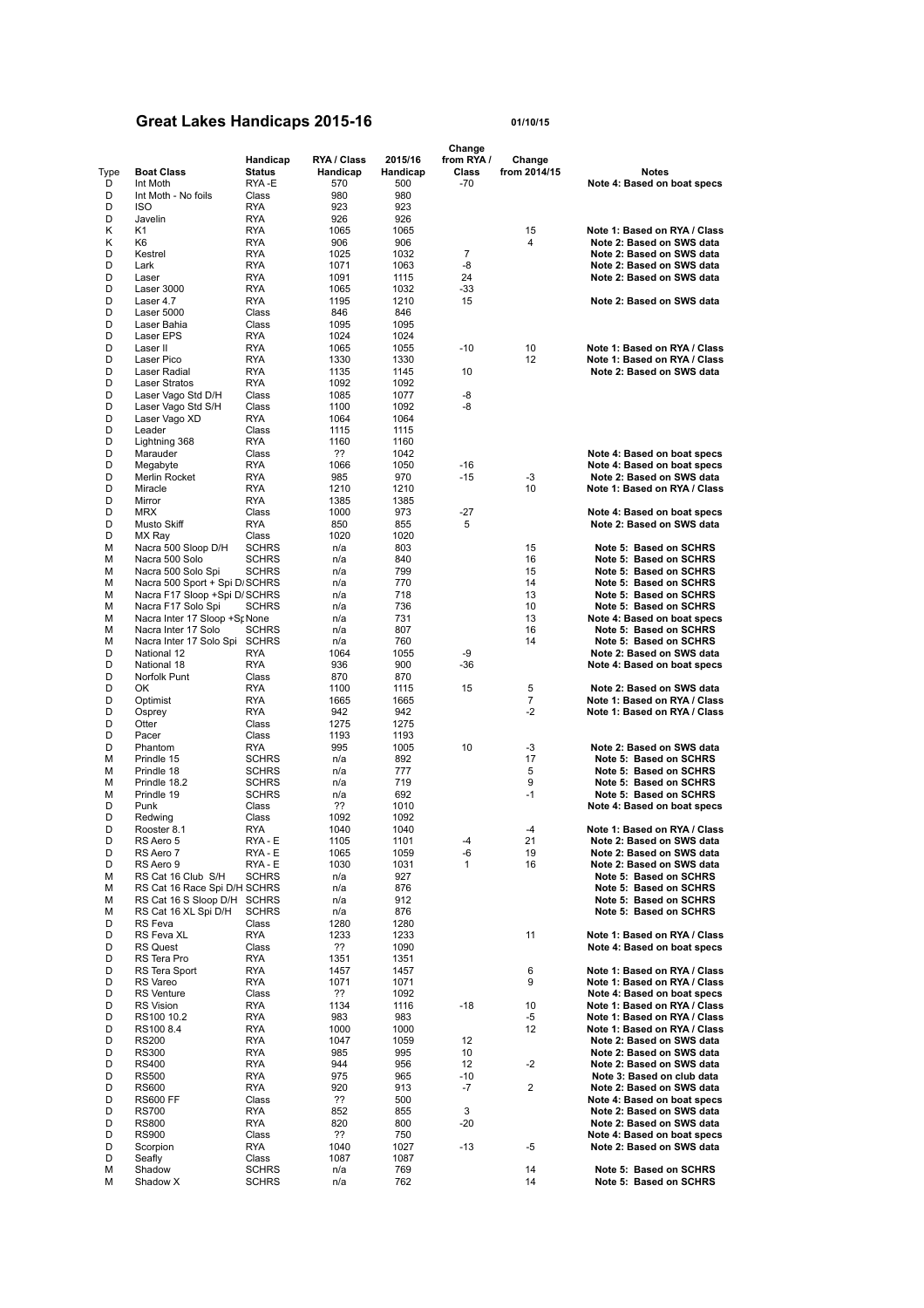## **Great Lakes Handicaps 2015-16 01/10/15**

|        |                                |                          |              |              | Change       |              |                                                              |
|--------|--------------------------------|--------------------------|--------------|--------------|--------------|--------------|--------------------------------------------------------------|
|        |                                | Handicap                 | RYA / Class  | 2015/16      | from RYA /   | Change       |                                                              |
| Type   | <b>Boat Class</b>              | <b>Status</b>            | Handicap     | Handicap     | Class        | from 2014/15 | <b>Notes</b>                                                 |
| D      | Int Moth                       | RYA-E                    | 570          | 500          | $-70$        |              | Note 4: Based on boat specs                                  |
| D      | Int Moth - No foils            | Class                    | 980          | 980          |              |              |                                                              |
| D      | <b>ISO</b>                     | <b>RYA</b>               | 923          | 923          |              |              |                                                              |
| D      | Javelin                        | RYA                      | 926          | 926          |              |              |                                                              |
| Κ      | K1                             | RYA                      | 1065         | 1065         |              | 15           | Note 1: Based on RYA / Class                                 |
| Κ      | K6                             | RYA                      | 906          | 906          |              | 4            | Note 2: Based on SWS data                                    |
| D      | Kestrel                        | RYA                      | 1025         | 1032         | 7            |              | Note 2: Based on SWS data                                    |
| D      | Lark                           | RYA                      | 1071         | 1063         | -8           |              | Note 2: Based on SWS data                                    |
| D      | Laser                          | RYA                      | 1091         | 1115         | 24           |              | Note 2: Based on SWS data                                    |
| D      | Laser 3000                     | RYA                      | 1065         | 1032         | $-33$        |              |                                                              |
| D      | Laser 4.7                      | <b>RYA</b>               | 1195         | 1210         | 15           |              | Note 2: Based on SWS data                                    |
| D      | Laser 5000                     | Class                    | 846          | 846          |              |              |                                                              |
| D      | Laser Bahia                    | Class                    | 1095         | 1095         |              |              |                                                              |
| D      | Laser EPS                      | <b>RYA</b>               | 1024         | 1024         |              |              |                                                              |
| D      | Laser II                       | <b>RYA</b>               | 1065         | 1055         | $-10$        | 10           | Note 1: Based on RYA / Class                                 |
| D      | Laser Pico                     | RYA                      | 1330         | 1330         |              | 12           | Note 1: Based on RYA / Class                                 |
| D      | Laser Radial                   | <b>RYA</b>               | 1135         | 1145         | 10           |              | Note 2: Based on SWS data                                    |
| D      | <b>Laser Stratos</b>           | <b>RYA</b>               | 1092         | 1092         |              |              |                                                              |
| D      | Laser Vago Std D/H             | Class                    | 1085         | 1077         | -8           |              |                                                              |
| D      | Laser Vago Std S/H             | Class                    | 1100         | 1092         | -8           |              |                                                              |
| D      | Laser Vago XD                  | <b>RYA</b>               | 1064         | 1064         |              |              |                                                              |
| D      | Leader                         | Class                    | 1115         | 1115         |              |              |                                                              |
| D      | Lightning 368                  | <b>RYA</b>               | 1160         | 1160         |              |              |                                                              |
| D      | Marauder                       | Class                    | ??           | 1042         |              |              | Note 4: Based on boat specs                                  |
| D      | Megabyte                       | RYA                      | 1066         | 1050         | $-16$        |              | Note 4: Based on boat specs                                  |
| D      | Merlin Rocket                  | <b>RYA</b>               | 985          | 970          | $-15$        | -3           | Note 2: Based on SWS data                                    |
| D      | Miracle                        | <b>RYA</b>               | 1210         | 1210         |              | 10           | Note 1: Based on RYA / Class                                 |
| D      | Mirror                         | RYA                      | 1385         | 1385         |              |              |                                                              |
| D      | <b>MRX</b>                     | Class                    | 1000         | 973          | $-27$        |              | Note 4: Based on boat specs                                  |
| D      | Musto Skiff                    | <b>RYA</b>               | 850          | 855          | 5            |              | Note 2: Based on SWS data                                    |
| D      | MX Ray                         | Class                    | 1020         | 1020         |              |              |                                                              |
| М      | Nacra 500 Sloop D/H            | <b>SCHRS</b>             | n/a          | 803          |              | 15           | Note 5: Based on SCHRS                                       |
| М      | Nacra 500 Solo                 | <b>SCHRS</b>             | n/a          | 840          |              | 16           | Note 5: Based on SCHRS                                       |
| М      | Nacra 500 Solo Spi             | <b>SCHRS</b>             | n/a          | 799          |              | 15           | Note 5: Based on SCHRS                                       |
| М      | Nacra 500 Sport + Spi D SCHRS  |                          | n/a          | 770          |              | 14           | Note 5: Based on SCHRS                                       |
| М      | Nacra F17 Sloop +Spi D/SCHRS   |                          | n/a          | 718          |              | 13           | Note 5: Based on SCHRS                                       |
| М      | Nacra F17 Solo Spi             | <b>SCHRS</b>             | n/a          | 736          |              | 10           | Note 5: Based on SCHRS                                       |
| М      | Nacra Inter 17 Sloop +Sr None  |                          | n/a          | 731          |              | 13           | Note 4: Based on boat specs                                  |
| М      | Nacra Inter 17 Solo            | <b>SCHRS</b>             | n/a          | 807          |              | 16           | Note 5: Based on SCHRS                                       |
| М      | Nacra Inter 17 Solo Spi SCHRS  |                          | n/a          | 760          |              | 14           | Note 5: Based on SCHRS                                       |
| D      | National 12                    | RYA                      | 1064         | 1055         | -9           |              | Note 2: Based on SWS data                                    |
| D      | National 18                    | <b>RYA</b>               | 936          | 900          | $-36$        |              | Note 4: Based on boat specs                                  |
| D      | Norfolk Punt                   | Class                    | 870          | 870          |              |              |                                                              |
| D      | OK                             | <b>RYA</b>               | 1100         | 1115         | 15           | 5            | Note 2: Based on SWS data                                    |
| D      | Optimist                       | RYA                      | 1665         | 1665         |              | 7            | Note 1: Based on RYA / Class                                 |
| D      | Osprey                         | <b>RYA</b>               | 942          | 942          |              | $-2$         | Note 1: Based on RYA / Class                                 |
| D      | Otter                          | Class                    | 1275         | 1275         |              |              |                                                              |
| D      | Pacer                          | Class                    | 1193         | 1193         |              |              |                                                              |
| D      | Phantom                        | RYA                      | 995          | 1005         | 10           | -3           | Note 2: Based on SWS data                                    |
| м      | Prindle 15                     | <b>SCHRS</b>             | n/a          | 892          |              | 17           | Note 5: Based on SCHRS                                       |
| м      | Prindle 18                     | <b>SCHRS</b>             | n/a          | 777          |              | 5            | Note 5: Based on SCHRS                                       |
| м      | Prindle 18.2                   | <b>SCHRS</b>             | n/a          | 719          |              | 9            | Note 5: Based on SCHRS                                       |
| м      | Prindle 19                     | <b>SCHRS</b>             | n/a          | 692          |              | $-1$         | Note 5: Based on SCHRS                                       |
| D      | Punk                           | Class                    | ??           | 1010         |              |              | Note 4: Based on boat specs                                  |
| D      | Redwing                        | Class                    | 1092         | 1092         |              |              |                                                              |
| D      | Rooster 8.1                    | RYA                      | 1040         | 1040         |              | $-4$         | Note 1: Based on RYA / Class                                 |
| D      | RS Aero 5                      | RYA - E                  | 1105         | 1101         | -4           | 21           | Note 2: Based on SWS data                                    |
| D      | RS Aero 7                      | RYA - E                  | 1065         | 1059         | -6           | 19           | Note 2: Based on SWS data                                    |
| D      | RS Aero 9                      | RYA - E                  | 1030         | 1031         | $\mathbf{1}$ | 16           | Note 2: Based on SWS data                                    |
| М      | RS Cat 16 Club S/H             | <b>SCHRS</b>             | n/a          | 927          |              |              | Note 5: Based on SCHRS                                       |
| М      | RS Cat 16 Race Spi D/H SCHRS   |                          | n/a          | 876          |              |              | Note 5: Based on SCHRS                                       |
| М      | RS Cat 16 S Sloop D/H SCHRS    |                          | n/a          | 912          |              |              | Note 5: Based on SCHRS                                       |
| М      | RS Cat 16 XL Spi D/H           | <b>SCHRS</b>             | n/a          | 876          |              |              | Note 5: Based on SCHRS                                       |
| D      | RS Feva                        | Class                    | 1280         | 1280         |              |              |                                                              |
| D      | RS Feva XL                     | <b>RYA</b>               | 1233         | 1233         |              | 11           | Note 1: Based on RYA / Class                                 |
| D      | <b>RS Quest</b>                | Class                    | ??           | 1090         |              |              | Note 4: Based on boat specs                                  |
| D      | RS Tera Pro                    | <b>RYA</b>               | 1351         | 1351         |              |              |                                                              |
| D<br>D | RS Tera Sport<br>RS Vareo      | <b>RYA</b><br><b>RYA</b> | 1457<br>1071 | 1457         |              | 6<br>9       | Note 1: Based on RYA / Class<br>Note 1: Based on RYA / Class |
|        |                                |                          |              | 1071         |              |              |                                                              |
| D<br>D | <b>RS</b> Venture              | Class                    | ??           | 1092         |              |              | Note 4: Based on boat specs<br>Note 1: Based on RYA / Class  |
| D      | <b>RS Vision</b><br>RS100 10.2 | RYA                      | 1134         | 1116<br>983  | $-18$        | 10<br>-5     | Note 1: Based on RYA / Class                                 |
| D      | RS100 8.4                      | RYA<br><b>RYA</b>        | 983<br>1000  | 1000         |              | 12           | Note 1: Based on RYA / Class                                 |
| D      |                                |                          |              | 1059         | 12           |              | Note 2: Based on SWS data                                    |
|        | <b>RS200</b><br><b>RS300</b>   | RYA                      | 1047<br>985  | 995          | 10           |              | Note 2: Based on SWS data                                    |
| D<br>D |                                | RYA                      | 944          | 956          | 12           | -2           | Note 2: Based on SWS data                                    |
| D      | <b>RS400</b>                   | RYA                      |              |              | $-10$        |              |                                                              |
| D      | <b>RS500</b><br><b>RS600</b>   | RYA<br>RYA               | 975<br>920   | 965<br>913   | -7           | 2            | Note 3: Based on club data<br>Note 2: Based on SWS data      |
| D      | <b>RS600 FF</b>                | Class                    | ??           | 500          |              |              | Note 4: Based on boat specs                                  |
| D      |                                |                          |              |              | 3            |              | Note 2: Based on SWS data                                    |
|        | <b>RS700</b>                   | <b>RYA</b>               | 852          | 855          |              |              |                                                              |
| D      | <b>RS800</b>                   | <b>RYA</b>               | 820          | 800          | $-20$        |              | Note 2: Based on SWS data                                    |
| D<br>D | <b>RS900</b>                   | Class                    | ??           | 750          | $-13$        |              | Note 4: Based on boat specs<br>Note 2: Based on SWS data     |
| D      | Scorpion<br>Seafly             | RYA<br>Class             | 1040<br>1087 | 1027<br>1087 |              | -5           |                                                              |
| М      | Shadow                         | <b>SCHRS</b>             | n/a          | 769          |              | 14           | Note 5: Based on SCHRS                                       |
| М      | Shadow X                       | <b>SCHRS</b>             | n/a          | 762          |              | 14           | Note 5: Based on SCHRS                                       |